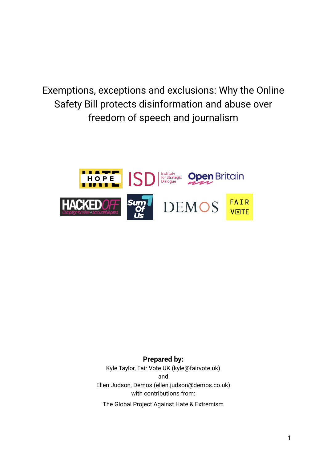Exemptions, exceptions and exclusions: Why the Online Safety Bill protects disinformation and abuse over freedom of speech and journalism



**Prepared by:** Kyle Taylor, Fair Vote UK (kyle@fairvote.uk) and Ellen Judson, Demos (ellen.judson@demos.co.uk) with contributions from:

The Global Project Against Hate & Extremism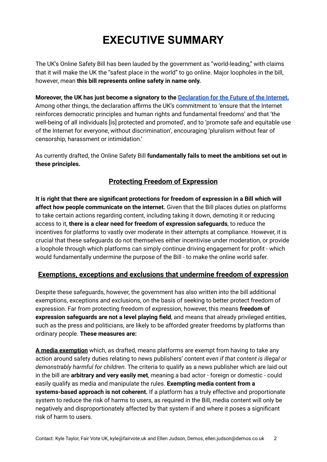# **EXECUTIVE SUMMARY**

The UK's Online Safety Bill has been lauded by the government as "world-leading," with claims that it will make the UK the "safest place in the world" to go online. Major loopholes in the bill, however, mean **this bill represents online safety in name only.**

**Moreover, the UK has just become a signatory to the [Declaration](https://www.whitehouse.gov/wp-content/uploads/2022/04/Declaration-for-the-Future-for-the-Internet_Launch-Event-Signing-Version_FINAL.pdf) for the Future of the Internet.** Among other things, the declaration affirms the UK's commitment to 'ensure that the Internet reinforces democratic principles and human rights and fundamental freedoms' and that 'the well-being of all individuals [is] protected and promoted', and to 'promote safe and equitable use of the Internet for everyone, without discrimination', encouraging 'pluralism without fear of censorship, harassment or intimidation.'

As currently drafted, the Online Safety Bill **fundamentally fails to meet the ambitions set out in these principles.**

#### **Protecting Freedom of Expression**

**It is right that there are significant protections for freedom of expression in a Bill which will affect how people communicate on the internet.** Given that the Bill places duties on platforms to take certain actions regarding content, including taking it down, demoting it or reducing access to it, **there is a clear need for freedom of expression safeguards**, to reduce the incentives for platforms to vastly over moderate in their attempts at compliance. However, it is crucial that these safeguards do not themselves either incentivise under moderation, or provide a loophole through which platforms can simply continue driving engagement for profit - which would fundamentally undermine the purpose of the Bill - to make the online world safer.

#### **Exemptions, exceptions and exclusions that undermine freedom of expression**

Despite these safeguards, however, the government has also written into the bill additional exemptions, exceptions and exclusions, on the basis of seeking to better protect freedom of expression. Far from protecting freedom of expression, however, this means **freedom of expression safeguards are not a level playing field**, and means that already privileged entities, such as the press and politicians, are likely to be afforded greater freedoms by platforms than ordinary people. **These measures are:**

**A media exemption** which, as drafted, means platforms are exempt from having to take any action around safety duties relating to news publishers' content *even if that content is illegal or demonstrably harmful for children*. The criteria to qualify as a news publisher which are laid out in the bill are **arbitrary and very easily met**, meaning a bad actor - foreign or domestic - could easily qualify as media and manipulate the rules. **Exempting media content from a systems-based approach is not coherent.** If a platform has a truly effective and proportionate system to reduce the risk of harms to users, as required in the Bill, media content will only be negatively and disproportionately affected by that system if and where it poses a significant risk of harm to users.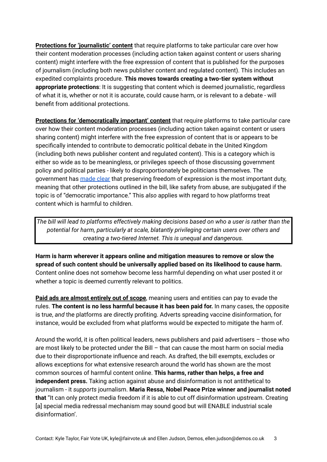**Protections for 'journalistic' content** that require platforms to take particular care over how their content moderation processes (including action taken against content or users sharing content) might interfere with the free expression of content that is published for the purposes of journalism (including both news publisher content and regulated content). This includes an expedited complaints procedure. **This moves towards creating a two-tier system without appropriate protections**: It is suggesting that content which is deemed journalistic, regardless of what it is, whether or not it is accurate, could cause harm, or is relevant to a debate - will benefit from additional protections.

**Protections for 'democratically important' content** that require platforms to take particular care over how their content moderation processes (including action taken against content or users sharing content) might interfere with the free expression of content that is or appears to be specifically intended to contribute to democratic political debate in the United Kingdom (including both news publisher content and regulated content). This is a category which is either so wide as to be meaningless, or privileges speech of those discussing government policy and political parties - likely to disproportionately be politicians themselves. The government has [made](https://www.thetimes.co.uk/article/big-tech-must-let-gender-critics-speak-under-online-safety-law-cq93r5d7n) clear that preserving freedom of expression is the most important duty, meaning that other protections outlined in the bill, like safety from abuse, are subjugated if the topic is of "democratic importance." This *also* applies with regard to how platforms treat content which is harmful to children.

The bill will lead to platforms effectively making decisions based on who a user is rather than the *potential for harm, particularly at scale, blatantly privileging certain users over others and creating a two-tiered Internet. This is unequal and dangerous.*

**Harm is harm wherever it appears online and mitigation measures to remove or slow the spread of such content should be universally applied based on its likelihood to cause harm.** Content online does not somehow become less harmful depending on what user posted it or whether a topic is deemed currently relevant to politics.

**Paid ads are almost entirely out of scope**, meaning users and entities can pay to evade the rules. **The content is no less harmful because it has been paid for.** In many cases, the opposite is true, *and* the platforms are directly profiting. Adverts spreading vaccine disinformation, for instance, would be excluded from what platforms would be expected to mitigate the harm of.

Around the world, it is often political leaders, news publishers and paid advertisers – those who are most likely to be protected under the Bill – that can cause the most harm on social media due to their disproportionate influence and reach. As drafted, the bill exempts, excludes or allows exceptions for what extensive research around the world has shown are the most common sources of harmful content online. **This harms, rather than helps, a free and independent press.** Taking action against abuse and disinformation is not antithetical to journalism - it *supports* journalism. **Maria Ressa, Nobel Peace Prize winner and journalist noted that** "It can only protect media freedom if it is able to cut off disinformation upstream. Creating [a] special media redressal mechanism may sound good but will ENABLE industrial scale disinformation'.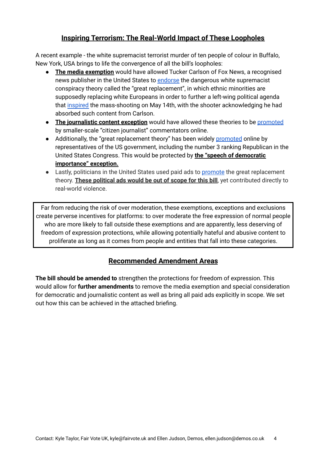## **Inspiring Terrorism: The Real-World Impact of These Loopholes**

A recent example - the white supremacist terrorist murder of ten people of colour in Buffalo, New York, USA brings to life the convergence of all the bill's loopholes:

- **The media exemption** would have allowed Tucker Carlson of Fox News, a recognised news publisher in the United States to [endorse](https://www.independent.co.uk/news/world/americas/us-politics/tucker-carlson-video-great-replacement-theory-b2080264.html) the dangerous white supremacist conspiracy theory called the "great replacement", in which ethnic minorities are supposedly replacing white Europeans in order to further a left-wing political agenda that [inspired](https://www.independent.co.uk/independent/news/world/americas/crime/buffalo-ny-mass-shooting-latest-b2079245.html) the mass-shooting on May 14th, with the shooter acknowledging he had absorbed such content from Carlson.
- **The journalistic content exception** would have allowed these theories to be [promoted](https://www.nytimes.com/2022/05/15/us/replacement-theory-shooting-tucker-carlson.html) by smaller-scale "citizen journalist" commentators online.
- Additionally, the "great replacement theory" has been widely [promoted](https://www.nytimes.com/2022/05/15/us/replacement-theory-shooting-tucker-carlson.html) online by representatives of the US government, including the number 3 ranking Republican in the United States Congress. This would be protected by **the "speech of democratic importance" exception.**
- Lastly, politicians in the United States used paid ads to [promote](https://www.npr.org/2022/05/17/1099223012/how-the-replacement-theory-went-mainstream-on-the-political-right?t=1652805164329) the great replacement theory. **These political ads would be out of scope for this bill**, yet contributed directly to real-world violence.

Far from reducing the risk of over moderation, these exemptions, exceptions and exclusions create perverse incentives for platforms: to over moderate the free expression of normal people who are more likely to fall outside these exemptions and are apparently, less deserving of freedom of expression protections, while allowing potentially hateful and abusive content to proliferate as long as it comes from people and entities that fall into these categories.

## **Recommended Amendment Areas**

**The bill should be amended to** strengthen the protections for freedom of expression. This would allow for **further amendments** to remove the media exemption and special consideration for democratic and journalistic content as well as bring all paid ads explicitly in scope. We set out how this can be achieved in the attached briefing.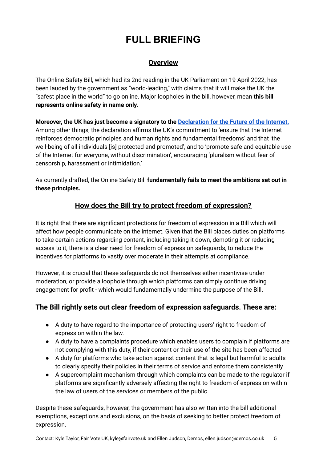## **FULL BRIEFING**

## **Overview**

The Online Safety Bill, which had its 2nd reading in the UK Parliament on 19 April 2022, has been lauded by the government as "world-leading," with claims that it will make the UK the "safest place in the world" to go online. Major loopholes in the bill, however, mean **this bill represents online safety in name only.**

**Moreover, the UK has just become a signatory to the [Declaration](https://www.whitehouse.gov/wp-content/uploads/2022/04/Declaration-for-the-Future-for-the-Internet_Launch-Event-Signing-Version_FINAL.pdf) for the Future of the Internet.** Among other things, the declaration affirms the UK's commitment to 'ensure that the Internet reinforces democratic principles and human rights and fundamental freedoms' and that 'the well-being of all individuals [is] protected and promoted', and to 'promote safe and equitable use of the Internet for everyone, without discrimination', encouraging 'pluralism without fear of censorship, harassment or intimidation.'

As currently drafted, the Online Safety Bill **fundamentally fails to meet the ambitions set out in these principles.**

## **How does the Bill try to protect freedom of expression?**

It is right that there are significant protections for freedom of expression in a Bill which will affect how people communicate on the internet. Given that the Bill places duties on platforms to take certain actions regarding content, including taking it down, demoting it or reducing access to it, there is a clear need for freedom of expression safeguards, to reduce the incentives for platforms to vastly over moderate in their attempts at compliance.

However, it is crucial that these safeguards do not themselves either incentivise under moderation, or provide a loophole through which platforms can simply continue driving engagement for profit - which would fundamentally undermine the purpose of the Bill.

## **The Bill rightly sets out clear freedom of expression safeguards. These are:**

- A duty to have regard to the importance of protecting users' right to freedom of expression within the law.
- A duty to have a complaints procedure which enables users to complain if platforms are not complying with this duty, if their content or their use of the site has been affected
- A duty for platforms who take action against content that is legal but harmful to adults to clearly specify their policies in their terms of service and enforce them consistently
- A supercomplaint mechanism through which complaints can be made to the regulator if platforms are significantly adversely affecting the right to freedom of expression within the law of users of the services or members of the public

Despite these safeguards, however, the government has also written into the bill additional exemptions, exceptions and exclusions, on the basis of seeking to better protect freedom of expression.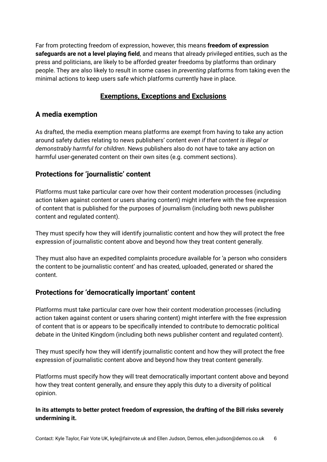Far from protecting freedom of expression, however, this means **freedom of expression safeguards are not a level playing field**, and means that already privileged entities, such as the press and politicians, are likely to be afforded greater freedoms by platforms than ordinary people. They are also likely to result in some cases in *preventing* platforms from taking even the minimal actions to keep users safe which platforms currently have in place.

#### **Exemptions, Exceptions and Exclusions**

#### **A media exemption**

As drafted, the media exemption means platforms are exempt from having to take any action around safety duties relating to news publishers' content *even if that content is illegal or demonstrably harmful for children*. News publishers also do not have to take any action on harmful user-generated content on their own sites (e.g. comment sections).

#### **Protections for 'journalistic' content**

Platforms must take particular care over how their content moderation processes (including action taken against content or users sharing content) might interfere with the free expression of content that is published for the purposes of journalism (including both news publisher content and regulated content).

They must specify how they will identify journalistic content and how they will protect the free expression of journalistic content above and beyond how they treat content generally.

They must also have an expedited complaints procedure available for 'a person who considers the content to be journalistic content' and has created, uploaded, generated or shared the content.

#### **Protections for 'democratically important' content**

Platforms must take particular care over how their content moderation processes (including action taken against content or users sharing content) might interfere with the free expression of content that is or appears to be specifically intended to contribute to democratic political debate in the United Kingdom (including both news publisher content and regulated content).

They must specify how they will identify journalistic content and how they will protect the free expression of journalistic content above and beyond how they treat content generally.

Platforms must specify how they will treat democratically important content above and beyond how they treat content generally, and ensure they apply this duty to a diversity of political opinion.

#### **In its attempts to better protect freedom of expression, the drafting of the Bill risks severely undermining it.**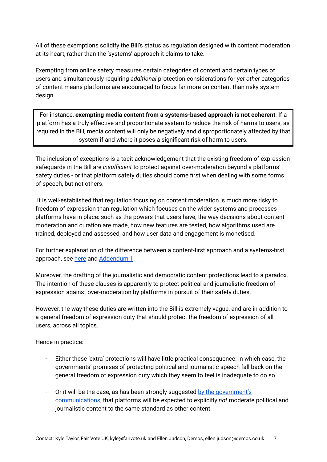All of these exemptions solidify the Bill's status as regulation designed with content moderation at its heart, rather than the 'systems' approach it claims to take.

Exempting from online safety measures certain categories of content and certain types of users and simultaneously requiring *additional* protection considerations for *yet other* categories of content means platforms are encouraged to focus far more on content than risky system design.

For instance, **exempting media content from a systems-based approach is not coherent**. If a platform has a truly effective and proportionate system to reduce the risk of harms to users, as required in the Bill, media content will only be negatively and disproportionately affected by that system if and where it poses a significant risk of harm to users.

The inclusion of exceptions is a tacit acknowledgement that the existing freedom of expression safeguards in the Bill are *insufficient* to protect against over-moderation beyond a platforms' safety duties - or that platform safety duties should come first when dealing with some forms of speech, but not others.

It is well-established that regulation focusing on content moderation is much more risky to freedom of expression than regulation which focuses on the wider systems and processes platforms have in place: such as the powers that users have, the way decisions about content moderation and curation are made, how new features are tested, how algorithms used are trained, deployed and assessed, and how user data and engagement is monetised.

For further explanation of the difference between a content-first approach and a systems-first approach, see [here](https://demos.co.uk/blog/system-change-for-system-changes-sake/) and [Addendum](#page-12-0) 1.

Moreover, the drafting of the journalistic and democratic content protections lead to a paradox. The intention of these clauses is apparently to protect political and journalistic freedom of expression against over-moderation by platforms in pursuit of their safety duties.

However, the way these duties are written into the Bill is extremely vague, and are in addition to a general freedom of expression duty that should protect the freedom of expression of all users, across all topics.

Hence in practice:

- Either these 'extra' protections will have little practical consequence: in which case, the governments' promises of protecting political and journalistic speech fall back on the general freedom of expression duty which they seem to feel is inadequate to do so.
- Or it will be the case, as has been strongly suggested by the [government's](https://www.conservativehome.com/platform/2022/03/nadine-dorries-how-we-will-narrow-the-ground-for-barring-harmful-posts-in-the-online-safety-bill.html) [communications,](https://www.conservativehome.com/platform/2022/03/nadine-dorries-how-we-will-narrow-the-ground-for-barring-harmful-posts-in-the-online-safety-bill.html) that platforms will be expected to explicitly *not* moderate political and journalistic content to the same standard as other content.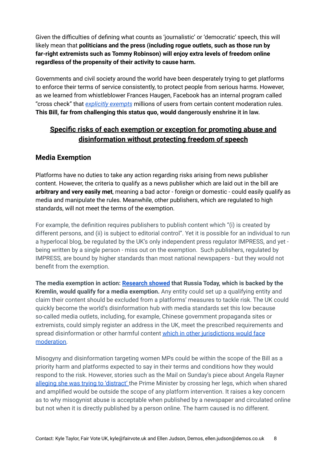Given the difficulties of defining what counts as 'journalistic' or 'democratic' speech, this will likely mean that **politicians and the press (including rogue outlets, such as those run by far-right extremists such as Tommy Robinson) will enjoy extra levels of freedom online regardless of the propensity of their activity to cause harm.**

Governments and civil society around the world have been desperately trying to get platforms to enforce their terms of service consistently, to protect people from serious harms. However, as we learned from whistleblower Frances Haugen, Facebook has an internal program called "cross check" that *[explicitly](https://www.cnbc.com/2021/09/13/facebook-shields-millions-of-vip-users-from-moderation-protocols.html) exempts* millions of users from certain content moderation rules. **This Bill, far from challenging this status quo, would dangerously enshrine it in law.**

## **Specific risks of each exemption or exception for promoting abuse and disinformation without protecting freedom of speech**

#### **Media Exemption**

Platforms have no duties to take any action regarding risks arising from news publisher content. However, the criteria to qualify as a news publisher which are laid out in the bill are **arbitrary and very easily met**, meaning a bad actor - foreign or domestic - could easily qualify as media and manipulate the rules. Meanwhile, other publishers, which are regulated to high standards, will not meet the terms of the exemption.

For example, the definition requires publishers to publish content which "(i) is created by different persons, and (ii) is subject to editorial control". Yet it is possible for an individual to run a hyperlocal blog, be regulated by the UK's only independent press regulator IMPRESS, and yet being written by a single person - miss out on the exemption. Such publishers, regulated by IMPRESS, are bound by higher standards than most national newspapers - but they would not benefit from the exemption.

**The media exemption in action: [Research](https://hackinginquiry.org/russia-today-set-to-benefit-from-press-exemption-to-the-governments-online-safety-bill/) showed that Russia Today, which is backed by the Kremlin, would qualify for a media exemption.** Any entity could set up a qualifying entity and claim their content should be excluded from a platforms' measures to tackle risk. The UK could quickly become the world's disinformation hub with media standards set this low because so-called media outlets, including, for example, Chinese government propaganda sites or extremists, could simply register an address in the UK, meet the prescribed requirements and spread disinformation or other harmful content which in other [jurisdictions](https://www.thewrap.com/tucker-carlson-twitter-flag-they-are-morons/) would face [moderation.](https://www.thewrap.com/tucker-carlson-twitter-flag-they-are-morons/)

Misogyny and disinformation targeting women MPs could be within the scope of the Bill as a priority harm and platforms expected to say in their terms and conditions how they would respond to the risk. However, stories such as the Mail on Sunday's piece about Angela Rayner alleging she was trying to ['distract'](https://www.thetimes.co.uk/article/judge-my-message-not-my-outfit-says-angela-rayner-amid-crossing-legs-row-dgc3plrgb) the Prime Minister by crossing her legs, which when shared and amplified would be outside the scope of any platform intervention. It raises a key concern as to why misogynist abuse is acceptable when published by a newspaper and circulated online but not when it is directly published by a person online. The harm caused is no different.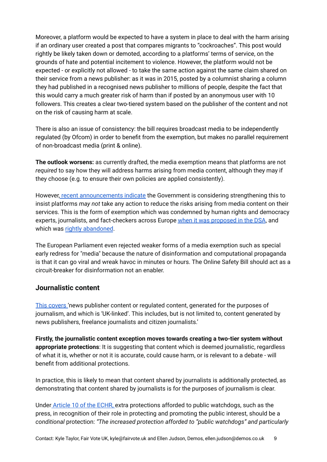Moreover, a platform would be expected to have a system in place to deal with the harm arising if an ordinary user created a post that compares migrants to "cockroaches". This post would rightly be likely taken down or demoted, according to a platforms' terms of service, on the grounds of hate and potential incitement to violence. However, the platform would not be expected - or explicitly not allowed - to take the same action against the same claim shared on their service from a news publisher: as it was in 2015, posted by a columnist sharing a column they had published in a recognised news publisher to millions of people, despite the fact that this would carry a much greater risk of harm than if posted by an anonymous user with 10 followers. This creates a clear two-tiered system based on the publisher of the content and not on the risk of causing harm at scale.

There is also an issue of consistency: the bill requires broadcast media to be independently regulated (by Ofcom) in order to benefit from the exemption, but makes no parallel requirement of non-broadcast media (print & online).

**The outlook worsens:** as currently drafted, the media exemption means that platforms are not *required* to say how they will address harms arising from media content, although they may if they choose (e.g. to ensure their own policies are applied consistently).

However, recent [announcements](https://www.conservativehome.com/platform/2022/03/nadine-dorries-how-we-will-narrow-the-ground-for-barring-harmful-posts-in-the-online-safety-bill.html) indicate the Government is considering strengthening this to insist platforms *may not* take any action to reduce the risks arising from media content on their services. This is the form of exemption which was condemned by human rights and democracy experts, journalists, and fact-checkers across Europe when it was [proposed](https://www.disinfo.eu/reject-the-media-exemption/) in the DSA, and which was rightly [abandoned](https://cdn.sanity.io/files/k97a60yb/production/9b4f5c364f55cec7dced1b3558fb83069a0fc38d.pdf).

The European Parliament even rejected weaker forms of a media exemption such as special early redress for "media" because the nature of disinformation and computational propaganda is that it can go viral and wreak havoc in minutes or hours. The Online Safety Bill should act as a circuit-breaker for disinformation not an enabler.

#### **Journalistic content**

This [covers](https://publications.parliament.uk/pa/bills/cbill/58-02/0285/210285en.pdf) 'news publisher content or regulated content, generated for the purposes of journalism, and which is 'UK-linked'. This includes, but is not limited to, content generated by news publishers, freelance journalists and citizen journalists.'

**Firstly, the journalistic content exception moves towards creating a two-tier system without appropriate protections**: It is suggesting that content which is deemed journalistic, regardless of what it is, whether or not it is accurate, could cause harm, or is relevant to a debate - will benefit from additional protections.

In practice, this is likely to mean that content shared by journalists is additionally protected, as demonstrating that content shared by journalists is for the purposes of journalism is clear.

Under [Article](https://www.echr.coe.int/documents/guide_art_10_eng.pdf) 10 of the ECHR, extra protections afforded to public watchdogs, such as the press, in recognition of their role in protecting and promoting the public interest, should be a *conditional* protection: *"The increased protection afforded to "public watchdogs" and particularly*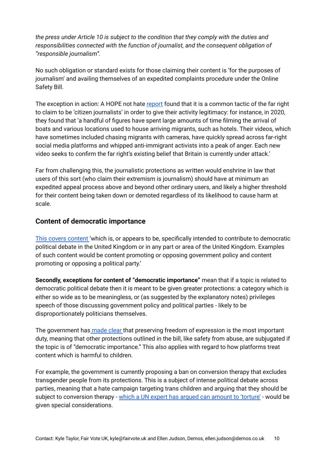*the press under Article 10 is subject to the condition that they comply with the duties and responsibilities connected with the function of journalist, and the consequent obligation of "responsible journalism".*

No such obligation or standard exists for those claiming their content is 'for the purposes of journalism' and availing themselves of an expedited complaints procedure under the Online Safety Bill.

The exception in action: A HOPE not hate [report](https://hopenothate.org.uk/2020/08/24/far-right-seek-to-exploit-migrant-arrivals/) found that it is a common tactic of the far right to claim to be 'citizen journalists' in order to give their activity legitimacy: for instance, in 2020, they found that 'a handful of figures have spent large amounts of time filming the arrival of boats and various locations used to house arriving migrants, such as hotels. Their videos, which have sometimes included chasing migrants with cameras, have quickly spread across far-right social media platforms and whipped anti-immigrant activists into a peak of anger. Each new video seeks to confirm the far right's existing belief that Britain is currently under attack.'

Far from challenging this, the journalistic protections as written would enshrine in law that users of this sort (who claim their extremism is journalism) should have at minimum an expedited appeal process above and beyond other ordinary users, and likely a higher threshold for their content being taken down or demoted regardless of its likelihood to cause harm at scale.

#### **Content of democratic importance**

This covers [content](https://publications.parliament.uk/pa/bills/cbill/58-02/0285/210285en.pdf) 'which is, or appears to be, specifically intended to contribute to democratic political debate in the United Kingdom or in any part or area of the United Kingdom. Examples of such content would be content promoting or opposing government policy and content promoting or opposing a political party.'

**Secondly, exceptions for content of "democratic importance"** mean that if a topic is related to democratic political debate then it is meant to be given greater protections: a category which is either so wide as to be meaningless, or (as suggested by the explanatory notes) privileges speech of those discussing government policy and political parties - likely to be disproportionately politicians themselves.

The government has [made](https://www.thetimes.co.uk/article/big-tech-must-let-gender-critics-speak-under-online-safety-law-cq93r5d7n) clear that preserving freedom of expression is the most important duty, meaning that other protections outlined in the bill, like safety from abuse, are subjugated if the topic is of "democratic importance." This *also* applies with regard to how platforms treat content which is harmful to children.

For example, the government is currently proposing a ban on conversion therapy that excludes transgender people from its protections. This is a subject of intense political debate across parties, meaning that a hate campaign targeting trans children and arguing that they should be subject to conversion therapy - which a UN expert has arqued can [amount](https://www.ohchr.org/en/stories/2020/07/conversion-therapy-can-amount-torture-and-should-be-banned-says-un-expert) to 'torture' - would be given special considerations.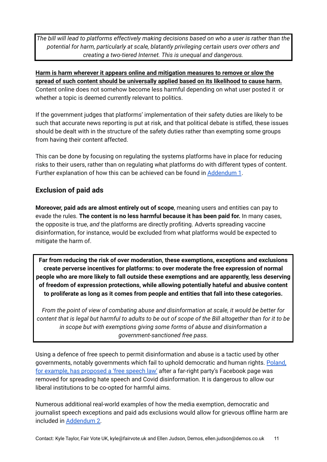The bill will lead to platforms effectively making decisions based on who a user is rather than the *potential for harm, particularly at scale, blatantly privileging certain users over others and creating a two-tiered Internet. This is unequal and dangerous.*

**Harm is harm wherever it appears online and mitigation measures to remove or slow the spread of such content should be universally applied based on its likelihood to cause harm.** Content online does not somehow become less harmful depending on what user posted it or whether a topic is deemed currently relevant to politics.

If the government judges that platforms' implementation of their safety duties are likely to be such that accurate news reporting is put at risk, and that political debate is stifled, these issues should be dealt with in the structure of the safety duties rather than exempting some groups from having their content affected.

This can be done by focusing on regulating the systems platforms have in place for reducing risks to their users, rather than on regulating what platforms do with different types of content. Further explanation of how this can be achieved can be found in [Addendum](#page-12-0) 1.

#### **Exclusion of paid ads**

**Moreover, paid ads are almost entirely out of scope**, meaning users and entities can pay to evade the rules. **The content is no less harmful because it has been paid for.** In many cases, the opposite is true, *and* the platforms are directly profiting. Adverts spreading vaccine disinformation, for instance, would be excluded from what platforms would be expected to mitigate the harm of.

**Far from reducing the risk of over moderation, these exemptions, exceptions and exclusions create perverse incentives for platforms: to over moderate the free expression of normal people who are more likely to fall outside these exemptions and are apparently, less deserving of freedom of expression protections, while allowing potentially hateful and abusive content to proliferate as long as it comes from people and entities that fall into these categories.**

*From the point of view of combating abuse and disinformation at scale, it would be better for* content that is legal but harmful to adults to be out of scope of the Bill altogether than for it to be *in scope but with exemptions giving some forms of abuse and disinformation a government-sanctioned free pass.*

Using a defence of free speech to permit disinformation and abuse is a tactic used by other governments, notably governments which fail to uphold democratic and human rights. [Poland,](https://www.euractiv.com/section/politics/short_news/polish-justice-ministry-proposes-online-free-speech-law-after-facebook-debacle/) for example, has [proposed](https://www.euractiv.com/section/politics/short_news/polish-justice-ministry-proposes-online-free-speech-law-after-facebook-debacle/) a 'free speech law' after a far-right party's Facebook page was removed for spreading hate speech and Covid disinformation. It is dangerous to allow our liberal institutions to be co-opted for harmful aims.

Numerous additional real-world examples of how the media exemption, democratic and journalist speech exceptions and paid ads exclusions would allow for grievous offline harm are included in [Addendum](#page-15-0) 2.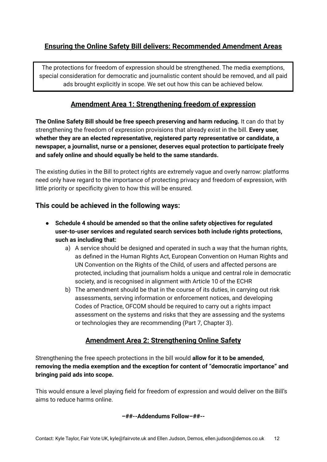#### **Ensuring the Online Safety Bill delivers: Recommended Amendment Areas**

The protections for freedom of expression should be strengthened. The media exemptions, special consideration for democratic and journalistic content should be removed, and all paid ads brought explicitly in scope. We set out how this can be achieved below.

#### **Amendment Area 1: Strengthening freedom of expression**

**The Online Safety Bill should be free speech preserving and harm reducing.** It can do that by strengthening the freedom of expression provisions that already exist in the bill. **Every user, whether they are an elected representative, registered party representative or candidate, a newspaper, a journalist, nurse or a pensioner, deserves equal protection to participate freely and safely online and should equally be held to the same standards.**

The existing duties in the Bill to protect rights are extremely vague and overly narrow: platforms need only have regard to the importance of protecting privacy and freedom of expression, with little priority or specificity given to how this will be ensured.

#### **This could be achieved in the following ways:**

- **● Schedule 4 should be amended so that the online safety objectives for regulated user-to-user services and regulated search services both include rights protections, such as including that:**
	- a) A service should be designed and operated in such a way that the human rights, as defined in the Human Rights Act, European Convention on Human Rights and UN Convention on the Rights of the Child, of users and affected persons are protected, including that journalism holds a unique and central role in democratic society, and is recognised in alignment with Article 10 of the ECHR
	- b) The amendment should be that in the course of its duties, in carrying out risk assessments, serving information or enforcement notices, and developing Codes of Practice, OFCOM should be required to carry out a rights impact assessment on the systems and risks that they are assessing and the systems or technologies they are recommending (Part 7, Chapter 3).

## **Amendment Area 2: Strengthening Online Safety**

Strengthening the free speech protections in the bill would **allow for it to be amended, removing the media exemption and the exception for content of "democratic importance" and bringing paid ads into scope.**

This would ensure a level playing field for freedom of expression and would deliver on the Bill's aims to reduce harms online.

**–##--Addendums Follow–##--**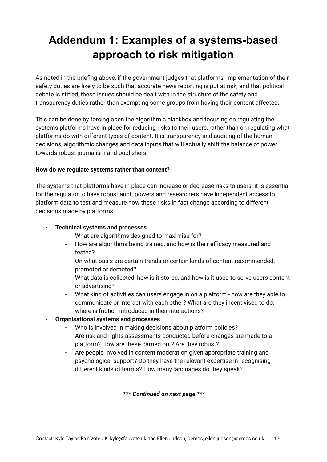## <span id="page-12-0"></span>**Addendum 1: Examples of a systems-based approach to risk mitigation**

As noted in the briefing above, if the government judges that platforms' implementation of their safety duties are likely to be such that accurate news reporting is put at risk, and that political debate is stifled, these issues should be dealt with in the structure of the safety and transparency duties rather than exempting some groups from having their content affected.

This can be done by forcing open the algorithmic blackbox and focusing on regulating the systems platforms have in place for reducing risks to their users, rather than on regulating what platforms do with different types of content. It is transparency and auditing of the human decisions, algorithmic changes and data inputs that will actually shift the balance of power towards robust journalism and publishers.

#### **How do we regulate systems rather than content?**

The systems that platforms have in place can increase or decrease risks to users: it is essential for the regulator to have robust audit powers and researchers have independent access to platform data to test and measure how these risks in fact change according to different decisions made by platforms.

#### **- Technical systems and processes**

- What are algorithms designed to maximise for?
- How are algorithms being trained, and how is their efficacy measured and tested?
- On what basis are certain trends or certain kinds of content recommended, promoted or demoted?
- What data is collected, how is it stored, and how is it used to serve users content or advertising?
- What kind of activities can users engage in on a platform how are they able to communicate or interact with each other? What are they incentivised to do: where is friction introduced in their interactions?
- **- Organisational systems and processes**
	- Who is involved in making decisions about platform policies?
	- Are risk and rights assessments conducted before changes are made to a platform? How are these carried out? Are they robust?
	- Are people involved in content moderation given appropriate training and psychological support? Do they have the relevant expertise in recognising different kinds of harms? How many languages do they speak?

#### *\*\*\* Continued on next page \*\*\**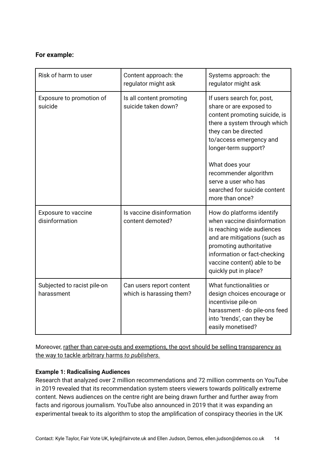#### **For example:**

| Risk of harm to user                      | Content approach: the<br>regulator might ask         | Systems approach: the<br>regulator might ask                                                                                                                                                                                                                                                                            |
|-------------------------------------------|------------------------------------------------------|-------------------------------------------------------------------------------------------------------------------------------------------------------------------------------------------------------------------------------------------------------------------------------------------------------------------------|
| Exposure to promotion of<br>suicide       | Is all content promoting<br>suicide taken down?      | If users search for, post,<br>share or are exposed to<br>content promoting suicide, is<br>there a system through which<br>they can be directed<br>to/access emergency and<br>longer-term support?<br>What does your<br>recommender algorithm<br>serve a user who has<br>searched for suicide content<br>more than once? |
| Exposure to vaccine<br>disinformation     | Is vaccine disinformation<br>content demoted?        | How do platforms identify<br>when vaccine disinformation<br>is reaching wide audiences<br>and are mitigations (such as<br>promoting authoritative<br>information or fact-checking<br>vaccine content) able to be<br>quickly put in place?                                                                               |
| Subjected to racist pile-on<br>harassment | Can users report content<br>which is harassing them? | What functionalities or<br>design choices encourage or<br>incentivise pile-on<br>harassment - do pile-ons feed<br>into 'trends', can they be<br>easily monetised?                                                                                                                                                       |

Moreover, rather than carve-outs and exemptions, the govt should be selling [transparency](https://docs.google.com/document/d/1MuA-Fa60jTN8aoMeBmr1fqkFhdP4XoqQEG2F2-wQRKw/edit.) as the way to tackle arbitrary harms *to [publishers.](https://docs.google.com/document/d/1MuA-Fa60jTN8aoMeBmr1fqkFhdP4XoqQEG2F2-wQRKw/edit.)*

#### **Example 1: Radicalising Audiences**

Research that analyzed over 2 million recommendations and 72 million comments on YouTube in 2019 revealed that its recommendation system steers viewers towards politically extreme content. News audiences on the centre right are being drawn further and further away from facts and rigorous journalism. YouTube also announced in 2019 that it was expanding an experimental tweak to its algorithm to stop the amplification of conspiracy theories in the UK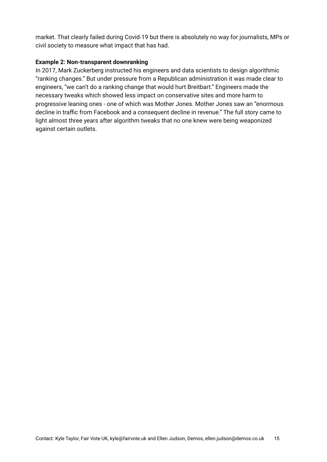market. That clearly failed during Covid-19 but there is absolutely no way for journalists, MPs or civil society to measure what impact that has had.

#### **Example 2: Non-transparent downranking**

In 2017, Mark Zuckerberg instructed his engineers and data scientists to design algorithmic "ranking changes." But under pressure from a Republican administration it was made clear to engineers, "we can't do a ranking change that would hurt Breitbart." Engineers made the necessary tweaks which showed less impact on conservative sites and more harm to progressive leaning ones - one of which was Mother Jones. Mother Jones saw an "enormous decline in traffic from Facebook and a consequent decline in revenue." The full story came to light almost three years after algorithm tweaks that no one knew were being weaponized against certain outlets.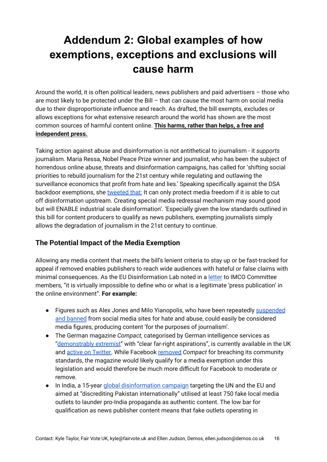## <span id="page-15-0"></span>**Addendum 2: Global examples of how exemptions, exceptions and exclusions will cause harm**

Around the world, it is often political leaders, news publishers and paid advertisers – those who are most likely to be protected under the Bill – that can cause the most harm on social media due to their disproportionate influence and reach. As drafted, the bill exempts, excludes or allows exceptions for what extensive research around the world has shown are the most common sources of harmful content online. **This harms, rather than helps, a free and independent press.**

Taking action against abuse and disinformation is not antithetical to journalism - it *supports* journalism. Maria Ressa, Nobel Peace Prize winner and journalist, who has been the subject of horrendous online abuse, threats and disinformation campaigns, has called for ['shifting](https://www.nobelprize.org/prizes/peace/2021/ressa/lecture/) social priorities to rebuild [journalism](https://www.nobelprize.org/prizes/peace/2021/ressa/lecture/) for the 21st century while regulating and outlawing the [surveillance](https://www.nobelprize.org/prizes/peace/2021/ressa/lecture/) economics that profit from hate and lies.' Speaking specifically against the DSA backdoor exemptions, she [tweeted](https://twitter.com/mariaressa/status/1483736429494964228) that: It can only protect media freedom if it is able to cut off disinformation upstream. Creating special media redressal mechanism may sound good but will ENABLE industrial scale disinformation'. 'Especially given the low standards outlined in this bill for content producers to qualify as news publishers, exempting journalists simply allows the degradation of journalism in the 21st century to continue.

## **The Potential Impact of the Media Exemption**

Allowing any media content that meets the bill's lenient criteria to stay up or be fast-tracked for appeal if removed enables publishers to reach wide audiences with hateful or false claims with minimal consequences. As the EU Disinformation Lab noted in a [letter](https://www.disinfo.eu/advocacy/fact-checkers-and-experts-call-on-meps-to-reject-a-media-exemption-in-the-dsa/) to IMCO Committee members, "it is virtually impossible to define who or what is a legitimate 'press publication' in the online environment". **For example:**

- Figures such as Alex Jones and Milo Yianopolis, who have been repeatedly [suspended](https://www.reuters.com/article/us-facebook-extremists-usa-idUSKCN1S82D7) and [banned](https://www.reuters.com/article/us-facebook-extremists-usa-idUSKCN1S82D7) from social media sites for hate and abuse, could easily be considered media figures, producing content 'for the purposes of journalism'.
- The German magazine *Compact,* categorised by German intelligence services as "[demonstrably](https://www.belltower.news/compact-magazine-hand-in-hand-with-the-far-right-126801/) extremist" with "clear far-right aspirations", is currently available in the UK and active on [Twitter.](https://twitter.com/COMPACTMagazin) While Facebook [removed](https://www.dw.com/en/facebook-removes-german-far-right-magazine-compact/a-54750354) *Compact* for breaching its community standards, the magazine would likely qualify for a media exemption under this legislation and would therefore be much more difficult for Facebook to moderate or remove.
- In India, a 15-year global [disinformation](https://www.disinfo.eu/publications/indian-chronicles-deep-dive-into-a-15-year-operation-targeting-the-eu-and-un-to-serve-indian-interests) campaign targeting the UN and the EU and aimed at "discrediting Pakistan internationally" utilised at least 750 fake local media outlets to launder pro-India propaganda as authentic content. The low bar for qualification as news publisher content means that fake outlets operating in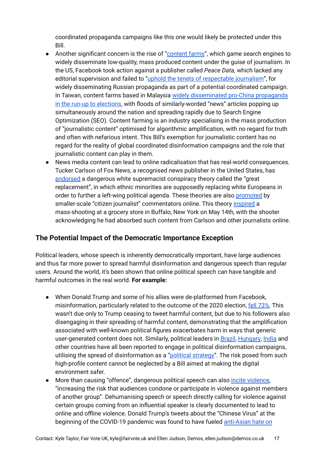coordinated propaganda campaigns like this one would likely be protected under this Bill.

- Another significant concern is the rise of ["content](https://sc.lib.miamioh.edu/bitstream/handle/2374.MIA/6433/Content%20Farms.pdf?sequence=1&isAllowed=y#:~:text=Content%20farms%20gather%20and%20analyze,is%20viewed%20by%20Internet%20users.) farms", which game search engines to widely disseminate low-quality, mass produced content under the guise of journalism. In the US, Facebook took action against a publisher called *Peace Data,* which lacked any editorial supervision and failed to "uphold the tenets of [respectable](https://slate.com/technology/2020/09/peace-data-russia-disinformation-facebook.html) journalism", for widely disseminating Russian propaganda as part of a potential coordinated campaign. In Taiwan, content farms based in Malaysia widely [disseminated](https://www.twreporter.org/a/information-warfare-business-disinformation-fake-news-behind-line-groups-english) pro-China propaganda in the run-up to [elections,](https://www.twreporter.org/a/information-warfare-business-disinformation-fake-news-behind-line-groups-english) with floods of similarly-worded "news" articles popping up simultaneously around the nation and spreading rapidly due to Search Engine Optimization (SEO). Content farming is an industry specialising in the mass production of "journalistic content" optimised for algorithmic amplification, with no regard for truth and often with nefarious intent. This Bill's exemption for journalistic content has no regard for the reality of global coordinated disinformation campaigns and the role that journalistic content can play in them.
- News media content can lead to online radicalisation that has real-world consequences. Tucker Carlson of Fox News, a recognised news publisher in the United States, has [endorsed](https://www.independent.co.uk/news/world/americas/us-politics/tucker-carlson-video-great-replacement-theory-b2080264.html) a dangerous white supremacist conspiracy theory called the "great replacement", in which ethnic minorities are supposedly replacing white Europeans in order to further a left-wing political agenda. These theories are also [promoted](https://www.nytimes.com/2022/05/15/us/replacement-theory-shooting-tucker-carlson.html) by smaller-scale "citizen journalist" commentators online. This theory [inspired](https://www.independent.co.uk/independent/news/world/americas/crime/buffalo-ny-mass-shooting-latest-b2079245.html) a mass-shooting at a grocery store in Buffalo, New York on May 14th, with the shooter acknowledging he had absorbed such content from Carlson and other journalists online.

## **The Potential Impact of the Democratic Importance Exception**

Political leaders, whose speech is inherently democratically important, have large audiences and thus far more power to spread harmful disinformation and dangerous speech than regular users. Around the world, it's been shown that online political speech can have tangible and harmful outcomes in the real world. **For example:**

- When Donald Trump and some of his allies were de-platformed from Facebook, misinformation, particularly related to the outcome of the 2020 election, fell [73%.](https://www.washingtonpost.com/technology/2021/01/16/misinformation-trump-twitter/) This wasn't due only to Trump ceasing to tweet harmful content, but due to his followers also disengaging in their spreading of harmful content, demonstrating that the amplification associated with well-known political figures exacerbates harm in ways that generic user-generated content does not. Similarly, political leaders in [Brazil](https://www.aljazeera.com/news/2021/12/17/brazil-bolsonaro-spread-disinformation-on-voting-system-police), [Hungary](https://eu.boell.org/en/2021/06/07/disinformation-hungary-fabricated-news-discriminatory-legislation), [India](https://www.france24.com/en/20190516-india-votes-election-campaign-fake-news-claims-narendra-modi-national-security) and other countries have all been reported to engage in political disinformation campaigns, utilising the spread of disinformation as a "political [strategy"](https://thehill.com/opinion/campaign/530777-when-disinformation-becomes-a-political-strategy-who-holds-the-line/). The risk posed from such high-profile content cannot be neglected by a Bill aimed at making the digital environment safer.
- More than causing "offence", dangerous political speech can also incite [violence](https://dangerousspeech.org/faq/?faq=200), "increasing the risk that audiences condone or participate in violence against members of another group". Dehumanising speech or speech directly calling for violence against certain groups coming from an influential speaker is clearly documented to lead to online and offline violence. Donald Trump's tweets about the "Chinese Virus" at the beginning of the COVID-19 pandemic was found to have fueled [anti-Asian](https://www.forbes.com/sites/roberthart/2021/03/19/trumps-chinese-virus-tweet-helped-fuel-anti-asian-hate-on-twitter-study-finds/?sh=73b4ec331a7c) hate on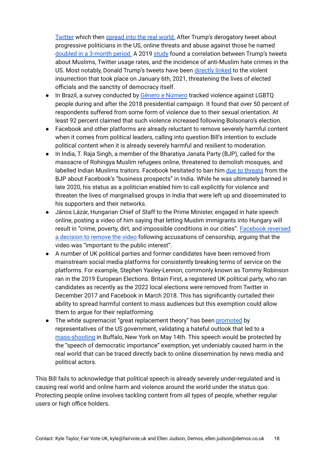[Twitter](https://www.forbes.com/sites/roberthart/2021/03/19/trumps-chinese-virus-tweet-helped-fuel-anti-asian-hate-on-twitter-study-finds/?sh=73b4ec331a7c) which then [spread](https://www.bbc.co.uk/news/world-us-canada-56218684) into the real world. After Trump's derogatory tweet about progressive politicians in the US, online threats and abuse against those he named doubled in a [3-month](https://news.wsu.edu/press-release/2022/03/23/incivility-threats-doubled-against-the-squad-after-trump-tweet/) period. A 2019 [study](https://warwick.ac.uk/fac/soc/economics/staff/crschwarz/hashtag_to_hatecrime.pdf) found a correlation between Trump's tweets about Muslims, Twitter usage rates, and the incidence of anti-Muslim hate crimes in the US. Most notably, Donald Trump's tweets have been [directly](https://www.nytimes.com/2022/03/29/us/politics/trump-tweet-jan-6.html) linked to the violent insurrection that took place on January 6th, 2021, threatening the lives of elected officials and the sanctity of democracy itself.

- In Brazil, a survey conducted by Gênero e [Número](http://violencialgbt.com.br/dados/190321_relatorio_LGBT_V1.pdf) tracked violence against LGBTQ people during and after the 2018 presidential campaign. It found that over 50 percent of respondents suffered from some form of violence due to their sexual orientation. At least 92 percent claimed that such violence increased following Bolsonaro's election.
- Facebook and other platforms are already reluctant to remove severely harmful content when it comes from political leaders, calling into question Bill's intention to exclude political content when it is already severely harmful and resilient to moderation.
- In India, T. Raja Singh, a member of the Bharatiya Janata Party (BJP), called for the massacre of Rohingya Muslim refugees online, threatened to demolish mosques, and labelled Indian Muslims traitors. Facebook hesitated to ban him due to [threats](https://www.bbc.co.uk/news/world-asia-india-53803256) from the BJP about Facebook's "business prospects" in India. While he was ultimately banned in late 2020, his status as a politician enabled him to call explicitly for violence and threaten the lives of marginalised groups in India that were left up and disseminated to his supporters and their networks.
- János Lázár, Hungarian Chief of Staff to the Prime Minister, engaged in hate speech online, posting a video of him saying that letting Muslim immigrants into Hungary will result in "crime, poverty, dirt, and impossible conditions in our cities". [Facebook](https://www.vox.com/policy-and-politics/2018/9/13/17823488/hungary-democracy-authoritarianism-trump) reversed a [decision](https://www.vox.com/policy-and-politics/2018/9/13/17823488/hungary-democracy-authoritarianism-trump) to remove the video following accusations of censorship, arguing that the video was "important to the public interest".
- A number of UK political parties and former candidates have been removed from mainstream social media platforms for consistently breaking terms of service on the platforms. For example, Stephen Yaxley-Lennon, commonly known as Tommy Robinson ran in the 2019 European Elections. Britain First, a registered UK political party, who ran candidates as recently as the 2022 local elections were removed from Twitter in December 2017 and Facebook in March 2018. This has significantly curtailed their ability to spread harmful content to mass audiences but this exemption could allow them to argue for their replatforming.
- The white supremacist "great replacement theory" has been [promoted](https://www.nytimes.com/2022/05/15/us/replacement-theory-shooting-tucker-carlson.html) by representatives of the US government, validating a hateful outlook that led to a [mass-shooting](https://www.independent.co.uk/news/world/americas/crime/buffalo-ny-mass-shooting-latest-b2079245.html) in Buffalo, New York on May 14th. This speech would be protected by the "speech of democratic importance" exemption, yet undeniably caused harm in the real world that can be traced directly back to online dissemination by news media and political actors.

This Bill fails to acknowledge that political speech is already severely under-regulated and is causing real world and online harm and violence around the world under the status quo. Protecting people online involves tackling content from all types of people, whether regular users or high office holders.